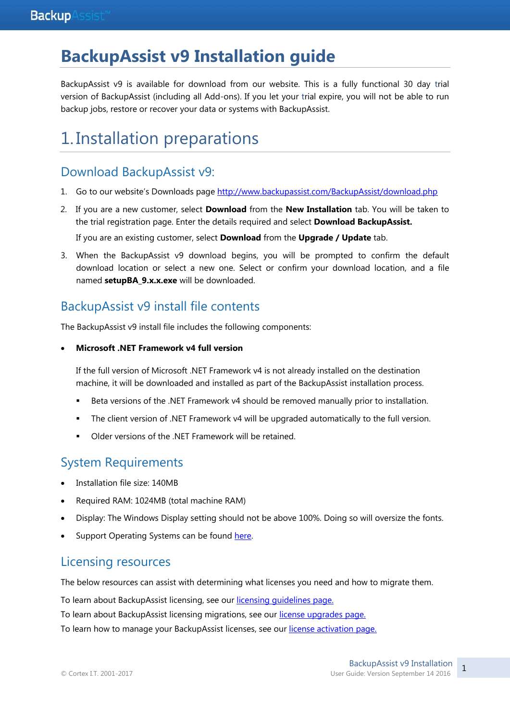# **BackupAssist v9 Installation guide**

BackupAssist v9 is available for download from our website. This is a fully functional 30 day trial version of BackupAssist (including all Add-ons). If you let your trial expire, you will not be able to run backup jobs, restore or recover your data or systems with BackupAssist.

# 1. Installation preparations

## Download BackupAssist v9:

- 1. Go to our website's Downloads page <http://www.backupassist.com/BackupAssist/download.php>
- 2. If you are a new customer, select **Download** from the **New Installation** tab. You will be taken to the trial registration page. Enter the details required and select **Download BackupAssist.**

If you are an existing customer, select **Download** from the **Upgrade / Update** tab.

3. When the BackupAssist v9 download begins, you will be prompted to confirm the default download location or select a new one. Select or confirm your download location, and a file named **setupBA\_9.x.x.exe** will be downloaded.

## BackupAssist v9 install file contents

The BackupAssist v9 install file includes the following components:

#### **Microsoft .NET Framework v4 full version**

If the full version of Microsoft .NET Framework v4 is not already installed on the destination machine, it will be downloaded and installed as part of the BackupAssist installation process.

- **Beta versions of the .NET Framework v4 should be removed manually prior to installation.**
- The client version of .NET Framework v4 will be upgraded automatically to the full version.
- Older versions of the .NET Framework will be retained.

## System Requirements

- Installation file size: 140MB
- Required RAM: 1024MB (total machine RAM)
- Display: The Windows Display setting should not be above 100%. Doing so will oversize the fonts.
- Support Operating Systems can be found here.

### Licensing resources

The below resources can assist with determining what licenses you need and how to migrate them.

To learn about BackupAssist licensing, see our [licensing guidelines page.](http://www.backupassist.com/education/articles/faq-backupassist-licensing.html)

To learn about BackupAssist licensing migrations, see our [license upgrades page.](http://www.backupassist.com/upgrade/upgrades.html)

To learn how to manage your BackupAssist licenses, see our [license activation page.](http://www.backupassist.com/education/v8/whitepapers/licensing_backupassist.html)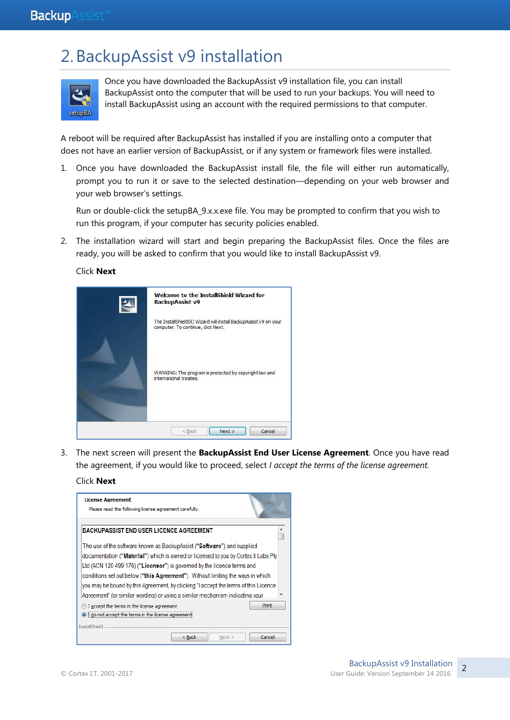# 2.BackupAssist v9 installation

| setupBA |
|---------|

Once you have downloaded the BackupAssist v9 installation file, you can install BackupAssist onto the computer that will be used to run your backups. You will need to install BackupAssist using an account with the required permissions to that computer.

A reboot will be required after BackupAssist has installed if you are installing onto a computer that does not have an earlier version of BackupAssist, or if any system or framework files were installed.

1. Once you have downloaded the BackupAssist install file, the file will either run automatically, prompt you to run it or save to the selected destination—depending on your web browser and your web browser's settings.

Run or double-click the setupBA\_9.x.x.exe file. You may be prompted to confirm that you wish to run this program, if your computer has security policies enabled.

2. The installation wizard will start and begin preparing the BackupAssist files. Once the files are ready, you will be asked to confirm that you would like to install BackupAssist v9.

Click **Next**

| Welcome to the InstallShield Wizard for<br><b>BackupAssist v9</b>                                      |
|--------------------------------------------------------------------------------------------------------|
| The InstallShield(R) Wizard will install BackupAssist v9 on your<br>computer. To continue, click Next. |
| WARNING: This program is protected by copyright law and<br>international treaties.                     |
| Next ><br>Cancel<br>$<$ Back                                                                           |

3. The next screen will present the **BackupAssist End User License Agreement**. Once you have read the agreement, if you would like to proceed, select *I accept the terms of the license agreement.* 

#### Click **Next**

| <b>License Agreement</b><br>Please read the following license agreement carefully.                                  |  |  |  |  |
|---------------------------------------------------------------------------------------------------------------------|--|--|--|--|
| <b>BACKUPASSIST END USER LICENCE AGREEMENT</b>                                                                      |  |  |  |  |
| The use of the software known as BackupAssist ("Software") and supplied                                             |  |  |  |  |
| documentation ( <b>"Material"</b> ) which is owned or licensed to you by Cortex It Labs Pty                         |  |  |  |  |
| Ltd (ACN 120 499 176) ("Licensor") is governed by the licence terms and                                             |  |  |  |  |
| conditions set out below ("this Agreement"). Without limiting the ways in which                                     |  |  |  |  |
| you may be bound by this Agreement, by clicking "I accept the terms of this Licence                                 |  |  |  |  |
| lAareement" (or similar wording) or using a similar mechanism indicating vour                                       |  |  |  |  |
| Print<br>I accept the terms in the license agreement<br>I do not accept the terms in the license agree<br>$\bullet$ |  |  |  |  |
| <b>InstallShield</b>                                                                                                |  |  |  |  |
| < Back<br>Cancel<br>Next                                                                                            |  |  |  |  |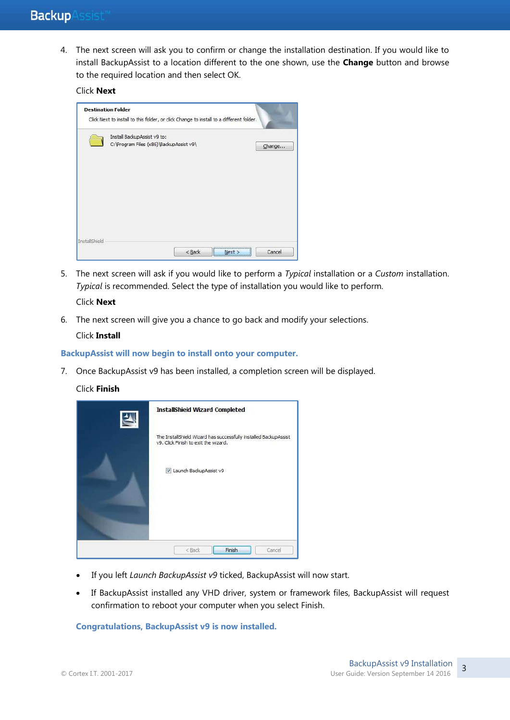4. The next screen will ask you to confirm or change the installation destination. If you would like to install BackupAssist to a location different to the one shown, use the **Change** button and browse to the required location and then select OK.

### Click **Next**

|               | C: \Program Files (x86)\BackupAssist v9\ |  |        |
|---------------|------------------------------------------|--|--------|
|               |                                          |  | Change |
|               |                                          |  |        |
|               |                                          |  |        |
|               |                                          |  |        |
|               |                                          |  |        |
|               |                                          |  |        |
| InstallShield |                                          |  |        |

5. The next screen will ask if you would like to perform a *Typical* installation or a *Custom* installation. *Typical* is recommended. Select the type of installation you would like to perform.

#### Click **Next**

6. The next screen will give you a chance to go back and modify your selections.

#### Click **Install**

**BackupAssist will now begin to install onto your computer.**

- 7. Once BackupAssist v9 has been installed, a completion screen will be displayed.
	- Click **Finish**

| ≚ | <b>InstallShield Wizard Completed</b>                                                                    |
|---|----------------------------------------------------------------------------------------------------------|
|   | The InstallShield Wizard has successfully installed BackupAssist<br>v9. Click Finish to exit the wizard. |
|   | V Launch BackupAssist v9                                                                                 |
|   |                                                                                                          |
|   | Finish<br>Cancel<br>$<$ Back                                                                             |

- If you left *Launch BackupAssist v9* ticked, BackupAssist will now start.
- If BackupAssist installed any VHD driver, system or framework files, BackupAssist will request confirmation to reboot your computer when you select Finish.

**Congratulations, BackupAssist v9 is now installed.**